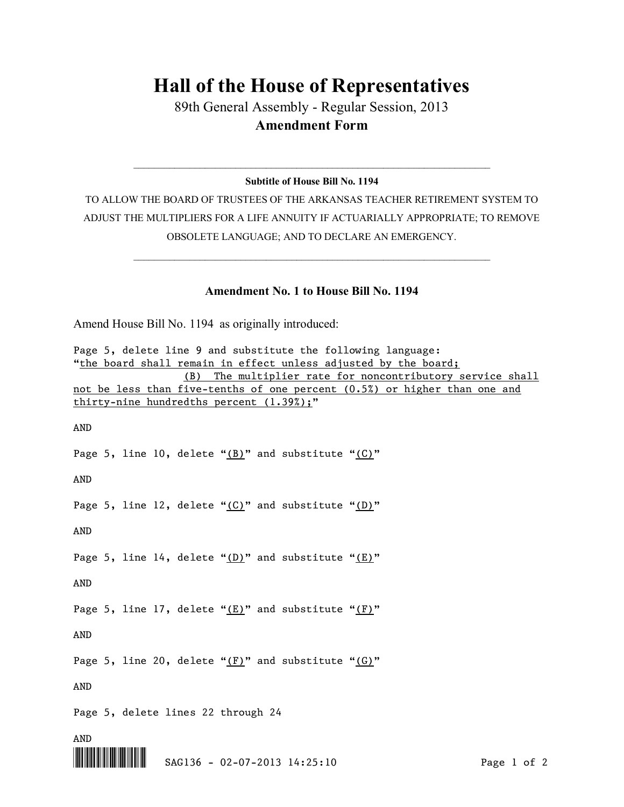## **Hall of the House of Representatives**

89th General Assembly - Regular Session, 2013 **Amendment Form**

## $\_$  , and the set of the set of the set of the set of the set of the set of the set of the set of the set of the set of the set of the set of the set of the set of the set of the set of the set of the set of the set of th **Subtitle of House Bill No. 1194**

TO ALLOW THE BOARD OF TRUSTEES OF THE ARKANSAS TEACHER RETIREMENT SYSTEM TO ADJUST THE MULTIPLIERS FOR A LIFE ANNUITY IF ACTUARIALLY APPROPRIATE; TO REMOVE OBSOLETE LANGUAGE; AND TO DECLARE AN EMERGENCY.

## **Amendment No. 1 to House Bill No. 1194**

 $\_$  , and the set of the set of the set of the set of the set of the set of the set of the set of the set of the set of the set of the set of the set of the set of the set of the set of the set of the set of the set of th

Amend House Bill No. 1194 as originally introduced:

| Page 5, delete line 9 and substitute the following language:              |
|---------------------------------------------------------------------------|
| "the board shall remain in effect unless adjusted by the board;           |
| (B)<br>The multiplier rate for noncontributory service shall              |
| not be less than five-tenths of one percent (0.5%) or higher than one and |
| thirty-nine hundredths percent (1.39%);"                                  |
|                                                                           |
| <b>AND</b>                                                                |
|                                                                           |
| Page 5, line 10, delete " $(B)$ " and substitute " $(C)$ "                |
|                                                                           |
| AND                                                                       |
|                                                                           |
| Page 5, line 12, delete " $(C)$ " and substitute " $(D)$ "                |
|                                                                           |
| AND                                                                       |
|                                                                           |
| Page 5, line 14, delete " $(D)$ " and substitute " $(E)$ "                |
|                                                                           |
| AND                                                                       |
|                                                                           |
| Page 5, line 17, delete " $(E)$ " and substitute " $(F)$ "                |
|                                                                           |
| <b>AND</b>                                                                |
|                                                                           |
| Page 5, line 20, delete " $(F)$ " and substitute " $(G)$ "                |
|                                                                           |
| AND                                                                       |
|                                                                           |
| Page 5, delete lines 22 through 24                                        |
|                                                                           |
| AND                                                                       |
|                                                                           |

\*.SAG136\* SAG136 - 02-07-2013 14:25:10 Page 1 of 2